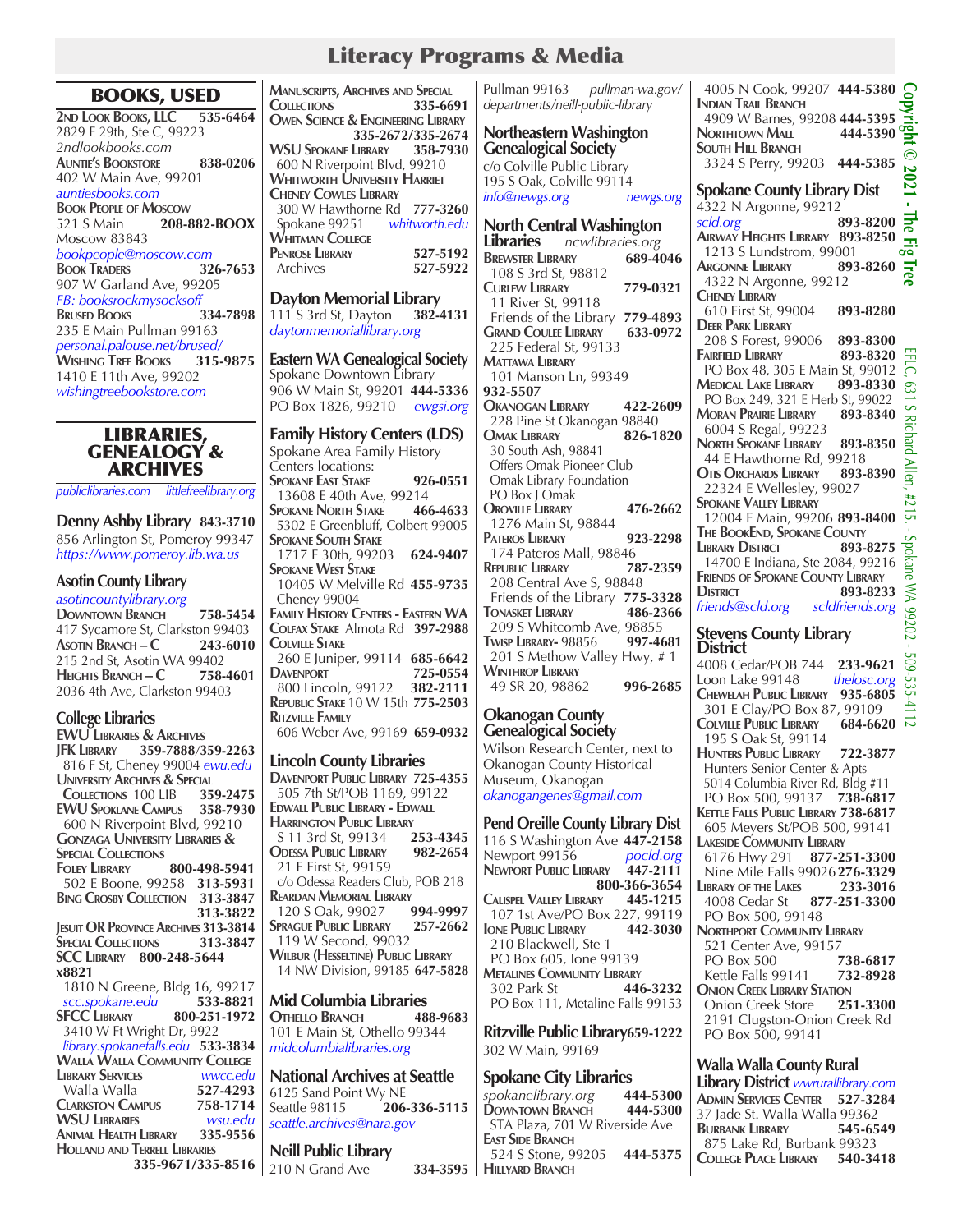## Literacy Programs & Media

### BOOKS, USED

**2nd Look Books, LLC 535-6464** 2829 E 29th, Ste C, 99223 *2ndlookbooks.com* **Auntie's Bookstore 838-0206** 402 W Main Ave, 99201 *auntiesbooks.com* **Book People of Moscow** 521 S Main **208-882-BOOX**  Moscow 83843 *bookpeople@moscow.com* **Book Traders 326-7653** 907 W Garland Ave, 99205 *FB: booksrockmysocksoff*  **BRUSED BOOKS** 235 E Main Pullman 99163 *personal.palouse.net/brused/* **Wishing Tree Books 315-9875** 1410 E 11th Ave, 99202 *wishingtreebookstore.com*

> **LIBRARIES** GENEALOGY & ARCHIVES

*publiclibraries.com littlefreelibrary.org*

**Denny Ashby Library 843-3710** 856 Arlington St, Pomeroy 99347 *https://www.pomeroy.lib.wa.us*

#### **Asotin County Library**

*asotincountylibrary.org* **Downtown Branch 758-5454** 417 Sycamore St, Clarkston 99403 **Asotin Branch – C 243-6010** 215 2nd St, Asotin WA 99402 **Heights Branch – C 758-4601** 2036 4th Ave, Clarkston 99403

#### **College Libraries**

**EWU Libraries & Archives JFK Library 359-7888***/***359-2263** 816 F St, Cheney 99004 *ewu.edu* **University Archives & Special Collections** 100 LIB 3**59-2475 COLLECTIONS 100 LIB EWU Spoklane Campus 358-7930** 600 N Riverpoint Blvd, 99210 **Gonzaga University Libraries & SPECIAL COLLECTIONS Foley Library 800-498-5941** 502 E Boone, 99258 **313-5931 Bing Crosby Collection 313-3847 313-3822 Jesuit OR Province Archives 313-3814 Special Collections 313-3847 SCC Library 800-248-5644 x8821** 1810 N Greene, Bldg 16, 99217  *scc.spokane.edu* **533-8821 SFCC Library 800-251-1972** 3410 W Ft Wright Dr, 9922  *library.spokanefalls.edu* **533-3834 Walla Walla Community College LIBRARY SERVICES**  Walla Walla **527-4293 Clarkston Campus 758-1714 WSU Libraries** *wsu.edu* **Animal Health Library 335-9556 Holland and Terrell Libraries**

 **335-9671/335-8516**

| <b>MANUSCRIPTS, ARCHIVES AND SPECIAL</b>      |  |  |  |
|-----------------------------------------------|--|--|--|
| 335-6691                                      |  |  |  |
| <b>OWEN SCIENCE &amp; ENGINEERING LIBRARY</b> |  |  |  |
| 335-2672/335-2674                             |  |  |  |
| WSU Spokane Library 358-7930                  |  |  |  |
| 600 N Riverpoint Blvd, 99210                  |  |  |  |
| Whitworth University Harriet                  |  |  |  |
|                                               |  |  |  |
| 300 W Hawthorne Rd 777-3260                   |  |  |  |
| Spokane 99251 whitworth.edu                   |  |  |  |
|                                               |  |  |  |
| 527-5192                                      |  |  |  |
| 527-5922                                      |  |  |  |
|                                               |  |  |  |

**Dayton Memorial Library** 111 S 3rd St, Dayton **382-4131** *daytonmemoriallibrary.org*

#### **Eastern WA Genealogical Society** Spokane Downtown Library 906 W Main St, 99201 **444-5336** PO Box 1826, 99210 *ewgsi.org*

**Family History Centers (LDS)**  Spokane Area Family History Centers locations: **Spokane East Stake 926-0551** 13608 E 40th Ave, 99214<br>POKANE NORTH STAKE 466-4633 **SPOKANE NORTH STAKE**  5302 E Greenbluff, Colbert 99005 **Spokane South Stake** 1717 E 30th, 99203 **624-9407 Spokane West Stake** 10405 W Melville Rd **455-9735** Cheney 99004 **Family History Centers - Eastern WA Colfax Stake** Almota Rd **397-2988 Colville Stake** 260 E Juniper, 99114 **685-6642 DAVENPORT 725-0554**<br>**800 Lincoln.** 99122 **382-2111**  800 Lincoln, 99122 **382-2111 Republic Stake** 10 W 15th **775-2503 Ritzville Family** 606 Weber Ave, 99169 **659-0932 Lincoln County Libraries Davenport Public Library 725-4355** 505 7th St/POB 1169, 99122 **Edwall Public Library - Edwall Harrington Public Library**<br>S 11 3rd St, 99134 253-4345 S 11 3rd St, 99134 **Odessa Public Library 982-2654** 21 E First St, 99159

 c/o Odessa Readers Club, POB 218 **REARDAN MEMORIAL LIBRARY**<br>120 S Oak, 99027 **994-9997** 120 S Oak, 99027 **Sprague Public Library 257-2662** 119 W Second, 99032 **Wilbur (Hesseltine) Public Library** 14 NW Division, 99185 **647-5828**

**Mid Columbia Libraries Othello Branch 488-9683** 101 E Main St, Othello 99344 *midcolumbialibraries.org*

**National Archives at Seattle**  6125 Sand Point Wy NE Seattle 98115 **206-336-5115** *seattle.archives@nara.gov* 

**Neill Public Library** 210 N Grand Ave

Pullman 99163 *pullman-wa.gov/ departments/neill-public-library*

#### **Northeastern Washington Genealogical Society** c/o Colville Public Library 195 S Oak, Colville 99114 *info@newgs.org newgs.org*

**North Central Washington Libraries** *ncwlibraries.org* **Brewster Library 689-4046** 108 S 3rd St, 98812 **Curlew Library 779-0321**  11 River St, 99118 Friends of the Library **779-4893 Grand Coulee Library 633-0972** 225 Federal St, 99133 **Mattawa Library** 101 Manson Ln, 99349 **932-5507 Okanogan Library 422-2609** 228 Pine St Okanogan 98840 **OMAK LIBRARY**  30 South Ash, 98841 Offers Omak Pioneer Club Omak Library Foundation PO Box J Omak **Oroville Library 476-2662** 1276 Main St, 98844 **Pateros Library 923-2298**  174 Pateros Mall, 98846<br>**REPUBLIC LIBRARY** 787-2359 **REPUBLIC LIBRARY**  208 Central Ave S, 98848 Friends of the Library **775-3328 TONASKET LIBRARY**  209 S Whitcomb Ave, 98855 **Twisp Library-** 98856 **997-4681** 201 S Methow Valley Hwy, # 1 **Winthrop Library** 49 SR 20, 98862 **996-2685**

# **Okanogan County Genealogical Society**

Wilson Research Center, next to Okanogan County Historical Museum, Okanogan *okanogangenes@gmail.com*

#### **Pend Oreille County Library Dist**

116 S Washington Ave **447-2158** Newport 99156 *pocld.org* **NEWPORT PUBLIC LIBRARY 800-366-3654 CALISPEL VALLEY LIBRARY** 107 1st Ave/PO Box 227, 99119<br> **PUBLIC LIBRARY** 442-3030 **IONE PUBLIC LIBRARY**  210 Blackwell, Ste 1 PO Box 605, Ione 99139 **Metalines Community Library** 302 Park St **446-3232** PO Box 111, Metaline Falls 99153

**Ritzville Public Library659-1222** 302 W Main, 99169

#### **Spokane City Libraries**

*spokanelibrary.org* **444-5300 DOWNTOWN BRANCH**  STA Plaza, 701 W Riverside Ave **East Side Branch** 524 S Stone, 99205 **444-5375 Hillyard Branch**

| 4005 N Cook, 99207 444-5380<br><b>INDIAN TRAIL BRANCH</b><br>4909 W Barnes, 99208 444-5395<br>444-5390<br>NORTHTOWN MALL<br><b>SOUTH HILL BRANCH</b><br>3324 S Perry, 99203 444-5385                                                                                                                                  | ăht<br>$\circledcirc$<br>S                   |
|-----------------------------------------------------------------------------------------------------------------------------------------------------------------------------------------------------------------------------------------------------------------------------------------------------------------------|----------------------------------------------|
| <b>Spokane County Library Dist</b>                                                                                                                                                                                                                                                                                    |                                              |
| 4322 N Argonne, 99212                                                                                                                                                                                                                                                                                                 |                                              |
| 893-8200<br>scld.org<br>AIRWAY HEIGHTS LIBRARY 893-8250<br>1213 S Lundstrom, 99001<br>893-8260<br><b>ARGONNE LIBRARY</b><br>4322 N Argonne, 99212<br><b>CHENEY LIBRARY</b>                                                                                                                                            | .<br>부<br><b>Fig Tree</b>                    |
| 610 First St, 99004<br>893-8280<br><b>DEER PARK LIBRARY</b><br>208 S Forest, 99006<br>893-8300<br><b>FAIRFIELD LIBRARY</b><br>893-8320                                                                                                                                                                                |                                              |
| PO Box 48, 305 E Main St, 99012<br><b>MEDICAL LAKE LIBRARY</b><br>893-8330<br>PO Box 249, 321 E Herb St, 99022<br>893-8340<br><b>MORAN PRAIRIE LIBRARY</b>                                                                                                                                                            | ELC,                                         |
| 6004 S Regal, 99223<br>NORTH SPOKANE LIBRARY 893-8350<br>44 E Hawthorne Rd, 99218<br>OTIS ORCHARDS LIBRARY 893-8390                                                                                                                                                                                                   |                                              |
| 22324 E Wellesley, 99027<br><b>SPOKANE VALLEY LIBRARY</b><br>12004 E Main, 99206 893-8400<br>THE BOOKEND, SPOKANE COUNTY<br><b>LIBRARY DISTRICT</b><br>893-8275<br>14700 E Indiana, Ste 2084, 99216<br><b>FRIENDS OF SPOKANE COUNTY LIBRARY</b><br><b>DISTRICT</b><br>893-8233<br>friends@scld.org<br>scldfriends.org | 031 S Richard Allen, #215 - Spokane XX 99200 |
| Stevens County Library                                                                                                                                                                                                                                                                                                |                                              |

#### **Stevens County Library District**

4008 Cedar/POB 744 **233-9621** Loon Lake 99148 *thelosc.org* **Chewelah Public Library 935-6805** 301 E Clay/PO Box 87, 99109  $\overline{11}$ <br>Colville Public Library 684-6620  $\overline{10}$ **COLVILLE PUBLIC LIBRARY**  195 S Oak St, 99114 **Hunters Public Library 722-3877** Hunters Senior Center & Apts 5014 Columbia River Rd, Bldg #11 PO Box 500, 99137 **738-6817 Kettle Falls Public Library 738-6817** 605 Meyers St/POB 500, 99141 **Lakeside Community Library** 6176 Hwy 291 **877-251-3300 Nine Mile Falls 99026276-3329**<br>**IRRARY OF THE LAKES** 233-3016 **LIBRARY OF THE LAKES**  4008 Cedar St **877-251-3300** PO Box 500, 99148 **NORTHPORT COMMUNITY LIBRARY**  521 Center Ave, 99157 PO Box 500 **738-6817**  Kettle Falls 99141 **732-8928 Onion Creek Library Station** Onion Creek Store **251-3300** 2191 Clugston-Onion Creek Rd PO Box 500, 99141

## **Walla Walla County Rural**

**Library District** *wwrurallibrary.com* **Admin Services Center 527-3284** 37 Jade St. Walla Walla 99362 **Burbank Library 545-6549** 875 Lake Rd, Burbank 99323<br>College Place Library 540-3418 **College Place Library 540-3418**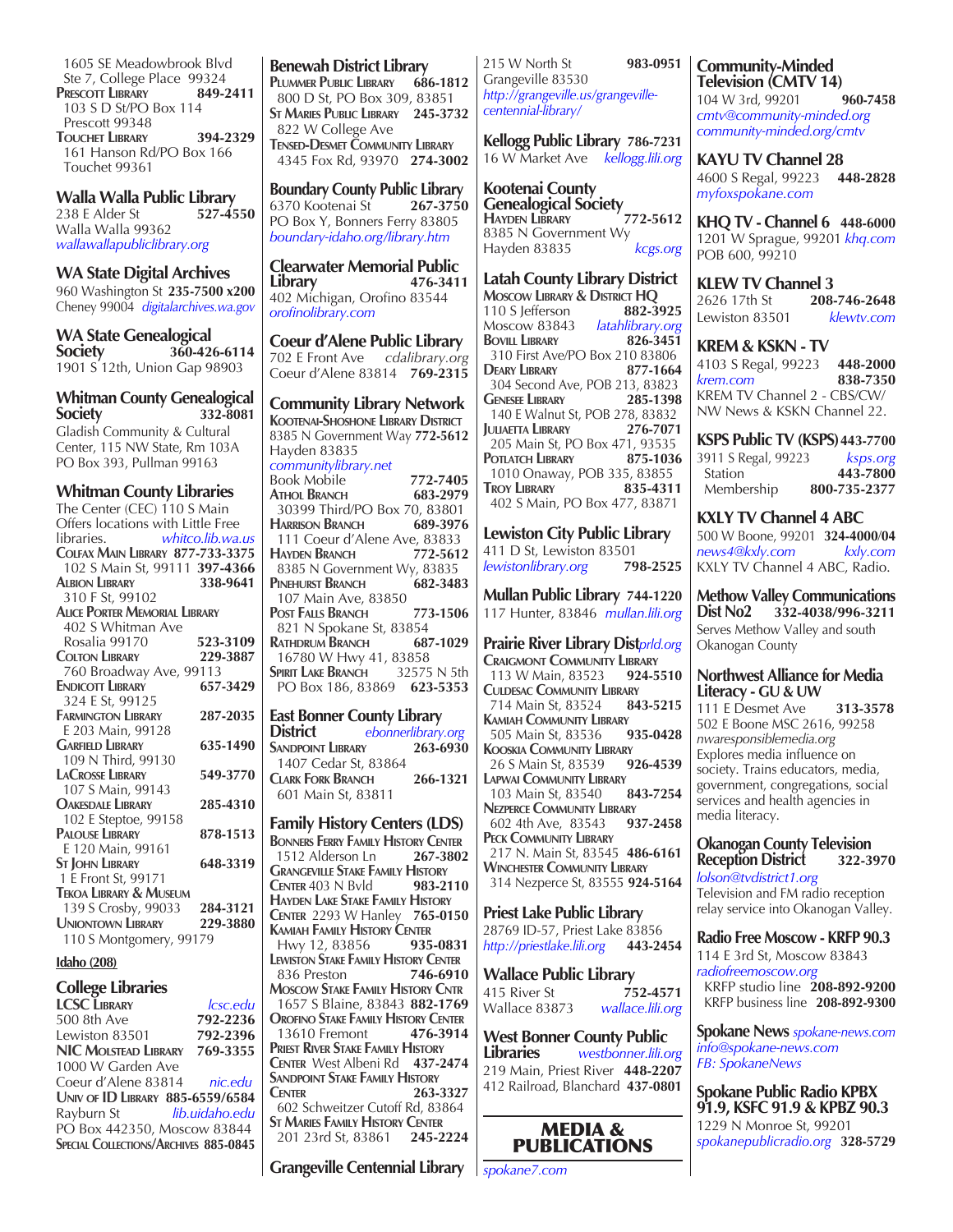1605 SE Meadowbrook Blvd Ste 7, College Place 99324<br>RESCOTT LIBRARY 849-2411 **PRESCOTT LIBRARY**  103 S D St/PO Box 114 Prescott 99348 **Touchet Library 394-2329** 161 Hanson Rd/PO Box 166 Touchet 99361

**Walla Walla Public Library** 238 E Alder St Walla Walla 99362 *wallawallapubliclibrary.org*

**WA State Digital Archives** 960 Washington St **235-7500 x200** Cheney 99004 *digitalarchives.wa.gov*

**WA State Genealogical Society 360-426-6114** 1901 S 12th, Union Gap 98903

#### **Whitman County Genealogical Society 332-8081**

Gladish Community & Cultural Center, 115 NW State, Rm 103A PO Box 393, Pullman 99163

#### **Whitman County Libraries**

| ------- <i>-</i>                        |          |  |  |
|-----------------------------------------|----------|--|--|
| The Center (CEC) 110 S Main             |          |  |  |
| Offers locations with Little Free       |          |  |  |
| libraries.<br>whitco.lib.wa.us          |          |  |  |
| <b>COLFAX MAIN LIBRARY 877-733-3375</b> |          |  |  |
| 102 S Main St, 99111 397-4366           |          |  |  |
| ALBION LIBRARY                          | 338-9641 |  |  |
| 310 F St, 99102                         |          |  |  |
| <b>ALICE PORTER MEMORIAL LIBRARY</b>    |          |  |  |
| 402 S Whitman Ave                       |          |  |  |
| Rosalia 99170                           | 523-3109 |  |  |
| <b>COLTON LIBRARY</b>                   | 229-3887 |  |  |
| 760 Broadway Ave, 99113                 |          |  |  |
| <b>ENDICOTT LIBRARY</b>                 | 657-3429 |  |  |
| 324 E St, 99125                         |          |  |  |
| <b>FARMINGTON LIBRARY</b>               | 287-2035 |  |  |
| E 203 Main, 99128                       |          |  |  |
| <b>GARFIELD LIBRARY</b>                 | 635-1490 |  |  |
| 109 N Third, 99130                      |          |  |  |
| <b>LACROSSE LIBRARY</b>                 | 549-3770 |  |  |
| 107 S Main, 99143                       |          |  |  |
| <b>OAKESDALE LIBRARY</b>                | 285-4310 |  |  |
| 102 E Steptoe, 99158                    |          |  |  |
| <b>PALOUSE LIBRARY</b>                  | 878-1513 |  |  |
| E 120 Main, 99161                       |          |  |  |
| <b>ST JOHN LIBRARY</b>                  | 648-3319 |  |  |
| 1 E Front St, 99171                     |          |  |  |
| <b>TEKOA LIBRARY &amp; MUSEUM</b>       |          |  |  |
| 139 S Crosby, 99033 284-3121            |          |  |  |
| <b>UNIONTOWN LIBRARY</b><br>229-3880    |          |  |  |
| 110 S Montgomery, 99179                 |          |  |  |
|                                         |          |  |  |

#### **Idaho (208)**

#### **College Libraries**

| <i><b>Icsc.edu</b></i>                  |
|-----------------------------------------|
| 792-2236                                |
| 792-2396                                |
| NIC MOLSTEAD LIBRARY 769-3355           |
|                                         |
| Coeur d'Alene 83814 nic.edu             |
| <b>UNIV OF ID LIBRARY 885-6559/6584</b> |
| lib.uidaho.edu                          |
| PO Box 442350, Moscow 83844             |
| SPECIAL COLLECTIONS/ARCHIVES 885-0845   |
|                                         |

**Benewah District Library Plummer Public Library 686-1812** 800 D St, PO Box 309, 83851 **St Maries Public Library 245-3732** 822 W College Ave **Tensed-Desmet Community Library** 4345 Fox Rd, 93970 **274-3002**

**Boundary County Public Library**<br>6370 Kootenai St **267-3750** 6370 Kootenai St **267-3750** PO Box Y, Bonners Ferry 83805 *boundary-idaho.org/library.htm*

**Clearwater Memorial Public Library** 402 Michigan, Orofino 83544 *orofinolibrary.com*

**Coeur d'Alene Public Library** 702 E Front Ave *cdalibrary.org* Coeur d'Alene 83814 **769-2315**

**Community Library Network Kootenai-Shoshone Library District** 8385 N Government Way **772-5612** Hayden 83835 *communitylibrary.net* **Book Mobile 772-7405**<br>**ATHOL BRANCH** 683-2979 **ATHOL BRANCH**  30399 Third/PO Box 70, 83801 **Harrison Branch 689-3976** 111 Coeur d'Alene Ave, 83833<br>HAYDEN BRANCH 772-5612 **Hayden Branch 772-5612** 8385 N Government Wy, 83835<br>PINEHURST BRANCH 682-3483 **PINEHURST BRANCH**  107 Main Ave, 83850 **Post Falls Branch 773-1506** 821 N Spokane St, 83854<br>**A**THDRUM **B**RANCH 687-1029 **RATHDRUM BRANCH** 16780 W Hwy 41, 83858<br>Pert Lake Branch 32575 N 5th **Spirit Lake Branch**  PO Box 186, 83869 **623-5353 East Bonner County Library** 

ebonnerlibrary.org<br>**263-6930 SANDPOINT LIBRARY**  1407 Cedar St, 83864 **Clark Fork Branch 266-1321** 601 Main St, 83811

#### **Family History Centers (LDS)**

**BONNERS FERRY FAMILY HISTORY CENTER**<br>1512 Alderson Ln **267-3802** 1512 Alderson Ln **Grangeville Stake Family History Center** 403 N Bvld **983-2110 Hayden Lake Stake Family History Center** 2293 W Hanley **765-0150 KAMIAH FAMILY HISTORY CENTER**<br>Hwv 12, 83856 **935-0831** Hwy 12, 83856 **Lewiston Stake Family History Center** 836 Preston **Moscow Stake Family History Cntr** 1657 S Blaine, 83843 **882-1769 Orofino Stake Family History Center** 13610 Fremont **476-3914 Priest River Stake Family History Center** West Albeni Rd **437-2474 Sandpoint Stake Family History Center 263-3327** 602 Schweitzer Cutoff Rd, 83864 **St Maries Family History Center** 201 23rd St, 83861 **245-2224**

**Grangeville Centennial Library**  *spokane7.com*

215 W North St **983-0951** Grangeville 83530 *http://grangeville.us/grangevillecentennial-library/*

**Kellogg Public Library 786-7231** 16 W Market Ave *kellogg.lili.org*

**Kootenai County Genealogical Society**<br> **HAYDEN LIBRARY** 772-5612 **Hayden Library 772-5612** 8385 N Government Wy Hayden 83835 *kcgs.org*

**Latah County Library District Moscow Library & District HQ** 110 S Jefferson **882-3925** Moscow 83843 *latahlibrary.org* **BOVILL LIBRARY** 310 First Ave/PO Box 210 83806<br>Deary Library 877-1664 **Deary Library 877-1664** 304 Second Ave, POB 213, 83823 **Genesee Library 285-1398** 140 E Walnut St, POB 278, 83832 **Juliaetta Library 276-7071** 205 Main St, PO Box 471, 93535<br> **POTLATCH LIBRARY** 875-1036 **POTLATCH LIBRARY**  1010 Onaway, POB 335, 83855 **Troy Library 835-4311** 402 S Main, PO Box 477, 83871

**Lewiston City Public Library** 411 D St, Lewiston 83501<br>
lewistonlibrary.org 798-2525  $lewiston library.org$ 

**Mullan Public Library 744-1220** 117 Hunter, 83846 *mullan.lili.org*

**Prairie River Library Dist***prld.org*

**CRAIGMONT COMMUNITY LIBRARY**<br>113 W Main, 83523 924-5510 113 W Main, 83523 **924-5510 Culdesac Community Library** 714 Main St, 83524 **843-5215 Kamiah Community Library**<br>505 Main St. 83536 **935-0428** 505 Main St, 83536 **Kooskia Community Library**<br>26 S Main St, 83539 **926-4539**  26 S Main St, 83539 **926-4539 Lapwai COMMUNITY LIBRARY**<br>103 Main St, 83540 **843-7254**  103 Main St, 83540 **843-7254 Nezperce Community Library**<br>602 4th Ave, 83543 937-2458 602 4th Ave, 83543 **937-2458 Peck Community Library** 217 N. Main St, 83545 **486-6161 Winchester Community Library** 314 Nezperce St, 83555 **924-5164**

**Priest Lake Public Library** 28769 ID-57, Priest Lake 83856<br>http://priestlake.lili.org 443-2454 *http://priestlake.lili.org* **443-2454**

**Wallace Public Library** 415 River St **752-4571**<br>
Wallace 83873 *wallace.lili.org* 

Wallace 83873 **West Bonner County Public<br>
Libraries** Westbonner.lili.o.

**Libraries** *westbonner.lili.org* 219 Main, Priest River **448-2207** 412 Railroad, Blanchard **437-0801**



**Community-Minded Television (CMTV 14)** 104 W 3rd, 99201 **960-7458** *cmtv@community-minded.org community-minded.org/cmtv*

**KAYU TV Channel 28** 4600 S Regal, 99223 **448-2828** *myfoxspokane.com*

**KHQ TV - Channel 6 448-6000** 1201 W Sprague, 99201 *khq.com* POB 600, 99210

**KLEW TV Channel 3**<br>2626 17th St 208-746-2648 2626 17th St **208-746-2648** Lewiston 83501 *klewtv.com*

**KREM & KSKN - TV** 4103 S Regal, 99223 **448-2000** *krem.com* **838-7350** KREM TV Channel 2 - CBS/CW/ NW News & KSKN Channel 22.

**KSPS Public TV (KSPS)443-7700** 3911 S Regal, 99223 *ksps.org*  Station **443-7800**<br>
Membership **800-735-2377** Membership **800-735-2377**

**KXLY TV Channel 4 ABC** 500 W Boone, 99201 **324-4000**/**04** *news4@kxly.com kxly.com* KXLY TV Channel 4 ABC, Radio.

**Methow Valley Communications Dist No2 332-4038/996-3211** Serves Methow Valley and south Okanogan County

#### **Northwest Alliance for Media Literacy - GU & UW**

111 E Desmet Ave **313-3578** 502 E Boone MSC 2616, 99258 *nwaresponsiblemedia.org* Explores media influence on society. Trains educators, media, government, congregations, social services and health agencies in media literacy.

#### **Okanogan County Television Reception District 322-3970**

*lolson@tvdistrict1.org* Television and FM radio reception relay service into Okanogan Valley.

#### **Radio Free Moscow - KRFP 90.3**

114 E 3rd St, Moscow 83843 *radiofreemoscow.org* KRFP studio line **208-892-9200**  KRFP business line **208-892-9300** 

**Spokane News** *spokane-news.com info@spokane-news.com FB: SpokaneNews*

**Spokane Public Radio KPBX 91.9, KSFC 91.9 & KPBZ 90.3** 1229 N Monroe St, 99201 *spokanepublicradio.org* **328-5729**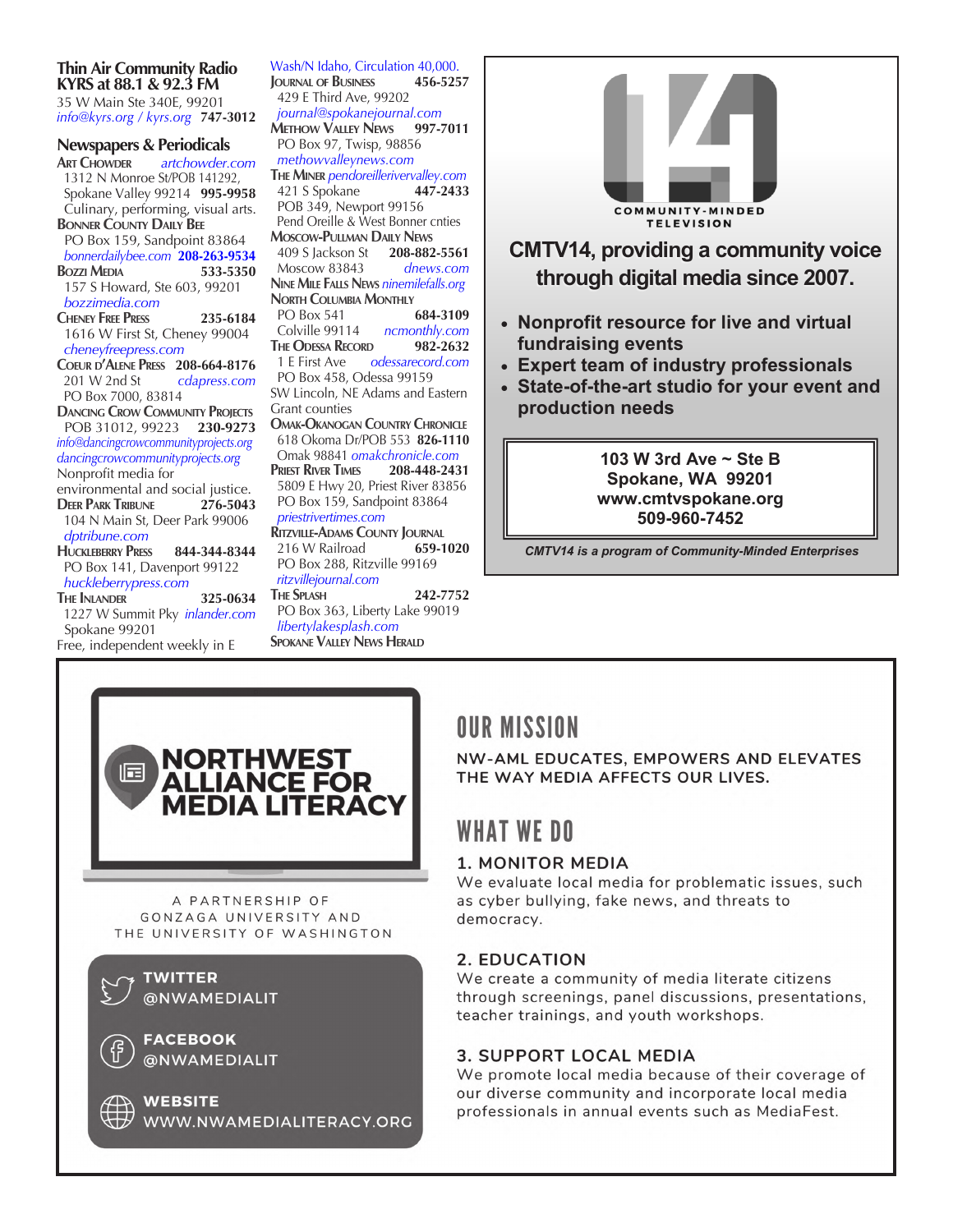## **Thin Air Community Radio KYRS at 88.1 & 92.3 FM**

35 W Main Ste 340E, 99201 *info@kyrs.org / kyrs.org* **747-3012**

#### **Newspapers & Periodicals**

**Art Chowder** *artchowder.com* 1312 N Monroe St/POB 141292, Spokane Valley 99214 **995-9958** Culinary, performing, visual arts. **Bonner County Daily Bee** PO Box 159, Sandpoint 83864  *bonnerdailybee.com* **208-263-9534 BOZZI MEDIA**  157 S Howard, Ste 603, 99201  *bozzimedia.com* **Cheney Free Press 235-6184** 1616 W First St, Cheney 99004  *cheneyfreepress.com* **Coeur d'Alene Press 208-664-8176** 201 W 2nd St *cdapress.com* PO Box 7000, 83814 **DANCING CROW COMMUNITY PROJECTS**  POB 31012, 99223 **230-9273** *info@dancingcrowcommunityprojects.org dancingcrowcommunityprojects.org* Nonprofit media for environmental and social justice. **Deer Park Tribune 276-5043** 104 N Main St, Deer Park 99006  *dptribune.com* **Huckleberry Press 844-344-8344** PO Box 141, Davenport 99122  *huckleberrypress.com* **The Inlander 325-0634** 1227 W Summit Pky *inlander.com*  Spokane 99201 Free, independent weekly in E

Wash/N Idaho, Circulation 40,000. **Journal of Business 456-5257** 429 E Third Ave, 99202  *journal@spokanejournal.com* **Methow Valley News 997-7011** PO Box 97, Twisp, 98856 *methowvalleynews.com* **The Miner** *pendoreillerivervalley.com* 421 S Spokane **447-2433** POB 349, Newport 99156 Pend Oreille & West Bonner cnties **Moscow-Pullman Daily News** 409 S Jackson St Moscow 83843 *dnews.com* **Nine Mile Falls News** *ninemilefalls.org*  **NORTH COLUMBIA MONTHLY**  PO Box 541 **684-3109** Colville 99114 *ncmonthly.com* **The Odessa Record 982-2632** 1 E First Ave *odessarecord.com* PO Box 458, Odessa 99159 SW Lincoln, NE Adams and Eastern Grant counties **Omak-Okanogan Country Chronicle** 618 Okoma Dr/POB 553 **826-1110** Omak 98841 *omakchronicle.com* **Priest River Times 208-448-2431** 5809 E Hwy 20, Priest River 83856 PO Box 159, Sandpoint 83864 *priestrivertimes.com* **RITZVILLE-ADAMS COUNTY JOURNAL**<br>216 W Railroad **659-1020** 216 W Railroad PO Box 288, Ritzville 99169  *ritzvillejournal.com*

**The Splash 242-7752** PO Box 363, Liberty Lake 99019 *libertylakesplash.com* **Spokane Valley News Herald**





## **CMTV14, providing a community voice through digital media since 2007.**

- **Nonprofit resource for live and virtual fundraising events**
- **Expert team of industry professionals**
- **State-of-the-art studio for your event and production needs**

## **103 W 3rd Ave ~ Ste B Spokane, WA 99201 www.cmtvspokane.org 509-960-7452**

*CMTV14 is a program of Community-Minded Enterprises*

# **OUR MISSION**

NW-AML EDUCATES, EMPOWERS AND ELEVATES THE WAY MEDIA AFFECTS OUR LIVES.

## **WHAT WE DO**

## 1. MONITOR MEDIA

We evaluate local media for problematic issues, such as cyber bullying, fake news, and threats to democracy.

## 2. EDUCATION

We create a community of media literate citizens through screenings, panel discussions, presentations, teacher trainings, and youth workshops.

## **3. SUPPORT LOCAL MEDIA**

We promote local media because of their coverage of our diverse community and incorporate local media professionals in annual events such as MediaFest.



**WEBSITE** WWW.NWAMEDIALITERACY.ORG

@NWAMEDIALIT